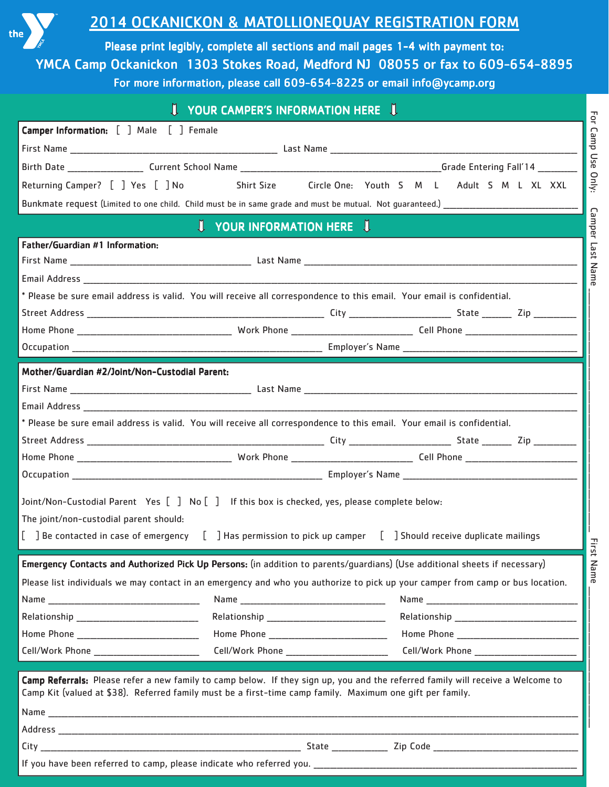

## 2014 OCKANICKON & MATOLLIONEQUAY REGISTRATION FORM

Please print legibly, complete all sections and mail pages 1-4 with payment to: YMCA Camp Ockanickon 1303 Stokes Road, Medford NJ 08055 or fax to 609-654-8895 For more information, please call 609-654-8225 or email info@ycamp.org

|                                                                                                                                                                                                                                              | <b>U YOUR CAMPER'S INFORMATION HERE U</b>  |  |                                                   |  |  |  |
|----------------------------------------------------------------------------------------------------------------------------------------------------------------------------------------------------------------------------------------------|--------------------------------------------|--|---------------------------------------------------|--|--|--|
| <b>Camper Information:</b> [ ] Male [ ] Female                                                                                                                                                                                               |                                            |  |                                                   |  |  |  |
|                                                                                                                                                                                                                                              |                                            |  |                                                   |  |  |  |
|                                                                                                                                                                                                                                              |                                            |  |                                                   |  |  |  |
| Returning Camper? [ ] Yes [ ] No Shirt Size Circle One: Youth S M L Adult S M L XL XXL                                                                                                                                                       |                                            |  |                                                   |  |  |  |
|                                                                                                                                                                                                                                              |                                            |  |                                                   |  |  |  |
| <b>U</b> YOUR INFORMATION HERE                                                                                                                                                                                                               |                                            |  |                                                   |  |  |  |
| Father/Guardian #1 Information:                                                                                                                                                                                                              |                                            |  |                                                   |  |  |  |
|                                                                                                                                                                                                                                              |                                            |  |                                                   |  |  |  |
|                                                                                                                                                                                                                                              |                                            |  |                                                   |  |  |  |
| * Please be sure email address is valid. You will receive all correspondence to this email. Your email is confidential.                                                                                                                      |                                            |  |                                                   |  |  |  |
|                                                                                                                                                                                                                                              |                                            |  |                                                   |  |  |  |
|                                                                                                                                                                                                                                              |                                            |  |                                                   |  |  |  |
|                                                                                                                                                                                                                                              |                                            |  |                                                   |  |  |  |
| Mother/Guardian #2/Joint/Non-Custodial Parent:                                                                                                                                                                                               |                                            |  |                                                   |  |  |  |
|                                                                                                                                                                                                                                              |                                            |  |                                                   |  |  |  |
|                                                                                                                                                                                                                                              |                                            |  |                                                   |  |  |  |
| * Please be sure email address is valid. You will receive all correspondence to this email. Your email is confidential.                                                                                                                      |                                            |  |                                                   |  |  |  |
|                                                                                                                                                                                                                                              |                                            |  |                                                   |  |  |  |
|                                                                                                                                                                                                                                              |                                            |  |                                                   |  |  |  |
|                                                                                                                                                                                                                                              |                                            |  |                                                   |  |  |  |
| Joint/Non-Custodial Parent Yes [ ] No [ ] If this box is checked, yes, please complete below:                                                                                                                                                |                                            |  |                                                   |  |  |  |
| The joint/non-custodial parent should:                                                                                                                                                                                                       |                                            |  |                                                   |  |  |  |
| [ ] Be contacted in case of emergency [ ] Has permission to pick up camper [ ] Should receive duplicate mailings                                                                                                                             |                                            |  |                                                   |  |  |  |
|                                                                                                                                                                                                                                              |                                            |  |                                                   |  |  |  |
| Emergency Contacts and Authorized Pick Up Persons: (in addition to parents/quardians) (Use additional sheets if necessary)                                                                                                                   |                                            |  |                                                   |  |  |  |
| Please list individuals we may contact in an emergency and who you authorize to pick up your camper from camp or bus location.                                                                                                               |                                            |  |                                                   |  |  |  |
|                                                                                                                                                                                                                                              |                                            |  |                                                   |  |  |  |
|                                                                                                                                                                                                                                              |                                            |  |                                                   |  |  |  |
|                                                                                                                                                                                                                                              |                                            |  |                                                   |  |  |  |
| Cell/Work Phone _____________________________                                                                                                                                                                                                | Cell/Work Phone __________________________ |  | Cell/Work Phone _________________________________ |  |  |  |
| Camp Referrals: Please refer a new family to camp below. If they sign up, you and the referred family will receive a Welcome to<br>Camp Kit (valued at \$38). Referred family must be a first-time camp family. Maximum one gift per family. |                                            |  |                                                   |  |  |  |
|                                                                                                                                                                                                                                              |                                            |  |                                                   |  |  |  |
|                                                                                                                                                                                                                                              |                                            |  |                                                   |  |  |  |
|                                                                                                                                                                                                                                              |                                            |  |                                                   |  |  |  |
|                                                                                                                                                                                                                                              |                                            |  |                                                   |  |  |  |

For Camp Use Only: Camper Last Name \_\_\_\_\_\_\_\_\_\_\_\_\_\_\_\_\_\_\_\_\_\_\_\_\_\_\_\_\_\_\_\_\_\_\_\_\_\_\_\_\_\_\_\_\_\_\_\_\_\_\_\_\_\_\_\_\_\_\_\_\_\_\_\_\_\_\_\_\_\_\_\_\_\_ First Name \_\_\_\_\_\_\_\_\_\_\_\_\_\_\_\_\_\_\_\_\_\_\_\_\_\_\_\_\_\_\_\_\_\_\_\_\_\_\_\_\_\_\_

First Name

For Camp Use Only:

Camper Last Name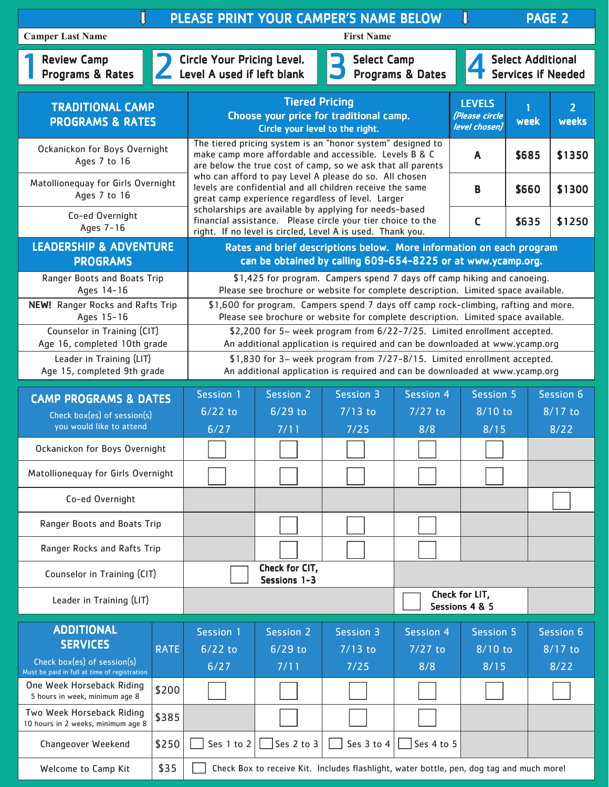| PLEASE PRINT YOUR CAMPER'S NAME BELOW<br>Π<br><b>PAGE 2</b>                 |                                                                                                                        |                                                                                                                                                                                                                                                                                                                                                                           |                   |                                                                                          |                  |                                                  |           |                         |
|-----------------------------------------------------------------------------|------------------------------------------------------------------------------------------------------------------------|---------------------------------------------------------------------------------------------------------------------------------------------------------------------------------------------------------------------------------------------------------------------------------------------------------------------------------------------------------------------------|-------------------|------------------------------------------------------------------------------------------|------------------|--------------------------------------------------|-----------|-------------------------|
| <b>Camper Last Name</b><br><b>First Name</b>                                |                                                                                                                        |                                                                                                                                                                                                                                                                                                                                                                           |                   |                                                                                          |                  |                                                  |           |                         |
| <b>Review Camp</b><br>Programs & Rates                                      |                                                                                                                        | <b>Circle Your Pricing Level.</b><br><b>Select Camp</b><br><b>Select Additional</b><br>Level A used if left blank<br><b>Programs &amp; Dates</b><br><b>Services if Needed</b>                                                                                                                                                                                             |                   |                                                                                          |                  |                                                  |           |                         |
| <b>TRADITIONAL CAMP</b><br><b>PROGRAMS &amp; RATES</b>                      |                                                                                                                        | <b>Tiered Pricing</b><br>Choose your price for traditional camp.<br>Circle your level to the right.                                                                                                                                                                                                                                                                       |                   |                                                                                          |                  | <b>LEVELS</b><br>(Please circle<br>level chosen) | 1<br>week | $\overline{2}$<br>weeks |
| Ockanickon for Boys Overnight<br>Ages 7 to 16                               |                                                                                                                        | The tiered pricing system is an "honor system" designed to<br>make camp more affordable and accessible. Levels B & C<br>A<br>are below the true cost of camp, so we ask that all parents<br>who can afford to pay Level A please do so. All chosen<br>levels are confidential and all children receive the same<br>B<br>great camp experience regardless of level. Larger |                   |                                                                                          |                  |                                                  | \$685     | \$1350                  |
| Matollionequay for Girls Overnight<br>Ages 7 to 16                          |                                                                                                                        |                                                                                                                                                                                                                                                                                                                                                                           |                   |                                                                                          |                  |                                                  | \$660     | \$1300                  |
| Co-ed Overnight<br>Ages 7-16                                                |                                                                                                                        | scholarships are available by applying for needs-based<br>financial assistance. Please circle your tier choice to the<br>right. If no level is circled, Level A is used. Thank you.                                                                                                                                                                                       |                   |                                                                                          |                  | $\mathsf{C}$                                     | \$635     | \$1250                  |
| <b>LEADERSHIP &amp; ADVENTURE</b><br><b>PROGRAMS</b>                        |                                                                                                                        | Rates and brief descriptions below. More information on each program<br>can be obtained by calling 609-654-8225 or at www.ycamp.org.                                                                                                                                                                                                                                      |                   |                                                                                          |                  |                                                  |           |                         |
| Ranger Boots and Boats Trip<br>Ages 14-16                                   |                                                                                                                        | \$1,425 for program. Campers spend 7 days off camp hiking and canoeing.<br>Please see brochure or website for complete description. Limited space available.                                                                                                                                                                                                              |                   |                                                                                          |                  |                                                  |           |                         |
| <b>NEW!</b> Ranger Rocks and Rafts Trip<br>Ages 15-16                       |                                                                                                                        | \$1,600 for program. Campers spend 7 days off camp rock-climbing, rafting and more.<br>Please see brochure or website for complete description. Limited space available.                                                                                                                                                                                                  |                   |                                                                                          |                  |                                                  |           |                         |
| Counselor in Training (CIT)<br>Age 16, completed 10th grade                 |                                                                                                                        | \$2,200 for 5- week program from 6/22-7/25. Limited enrollment accepted.<br>An additional application is required and can be downloaded at www.ycamp.org                                                                                                                                                                                                                  |                   |                                                                                          |                  |                                                  |           |                         |
| Leader in Training (LIT)<br>Age 15, completed 9th grade                     |                                                                                                                        | \$1,830 for 3- week program from 7/27-8/15. Limited enrollment accepted.<br>An additional application is required and can be downloaded at www.ycamp.org                                                                                                                                                                                                                  |                   |                                                                                          |                  |                                                  |           |                         |
|                                                                             | Session 1<br>Session 2<br><b>Session 3</b><br><b>Session 5</b><br><b>Session 4</b><br><b>CAMP PROGRAMS &amp; DATES</b> |                                                                                                                                                                                                                                                                                                                                                                           | Session 6         |                                                                                          |                  |                                                  |           |                         |
| Check box(es) of session(s)<br>you would like to attend                     |                                                                                                                        | $6/22$ to<br>6/27                                                                                                                                                                                                                                                                                                                                                         | $6/29$ to<br>7/11 | $7/13$ to<br>7/25                                                                        | $7/27$ to<br>8/8 | $8/10$ to<br>8/15                                |           | $8/17$ to<br>8/22       |
| Ockanickon for Boys Overnight                                               |                                                                                                                        |                                                                                                                                                                                                                                                                                                                                                                           |                   |                                                                                          |                  |                                                  |           |                         |
| Matollionequay for Girls Overnight                                          |                                                                                                                        |                                                                                                                                                                                                                                                                                                                                                                           |                   |                                                                                          |                  |                                                  |           |                         |
| Co-ed Overnight                                                             |                                                                                                                        |                                                                                                                                                                                                                                                                                                                                                                           |                   |                                                                                          |                  |                                                  |           |                         |
| Ranger Boots and Boats Trip                                                 |                                                                                                                        |                                                                                                                                                                                                                                                                                                                                                                           |                   |                                                                                          |                  |                                                  |           |                         |
| Ranger Rocks and Rafts Trip                                                 |                                                                                                                        |                                                                                                                                                                                                                                                                                                                                                                           |                   |                                                                                          |                  |                                                  |           |                         |
| Counselor in Training (CIT)                                                 |                                                                                                                        | Check for CIT,<br>Sessions 1-3                                                                                                                                                                                                                                                                                                                                            |                   |                                                                                          |                  |                                                  |           |                         |
| Leader in Training (LIT)                                                    |                                                                                                                        | Check for LIT,<br>Sessions 4 & 5                                                                                                                                                                                                                                                                                                                                          |                   |                                                                                          |                  |                                                  |           |                         |
| <b>ADDITIONAL</b><br><b>SERVICES</b>                                        |                                                                                                                        | Session 1                                                                                                                                                                                                                                                                                                                                                                 | <b>Session 2</b>  | <b>Session 3</b>                                                                         | <b>Session 4</b> | <b>Session 5</b>                                 |           | <b>Session 6</b>        |
| Check box(es) of session(s)<br>Must be paid in full at time of registration | <b>RATE</b>                                                                                                            | $6/22$ to<br>$6/27$                                                                                                                                                                                                                                                                                                                                                       | $6/29$ to<br>7/11 | $7/13$ to<br>7/25                                                                        | $7/27$ to<br>8/8 | $8/10$ to<br>8/15                                |           | $8/17$ to<br>8/22       |
| One Week Horseback Riding<br>5 hours in week, minimum age 8                 | \$200                                                                                                                  |                                                                                                                                                                                                                                                                                                                                                                           |                   |                                                                                          |                  |                                                  |           |                         |
| Two Week Horseback Riding<br>10 hours in 2 weeks, minimum age 8             | \$385                                                                                                                  |                                                                                                                                                                                                                                                                                                                                                                           |                   |                                                                                          |                  |                                                  |           |                         |
| Changeover Weekend                                                          | \$250                                                                                                                  | Ses 1 to 2                                                                                                                                                                                                                                                                                                                                                                | Ses 2 to 3        | Ses 3 to 4                                                                               | Ses 4 to 5       |                                                  |           |                         |
| Welcome to Camp Kit                                                         | \$35                                                                                                                   |                                                                                                                                                                                                                                                                                                                                                                           |                   | Check Box to receive Kit. Includes flashlight, water bottle, pen, dog tag and much more! |                  |                                                  |           |                         |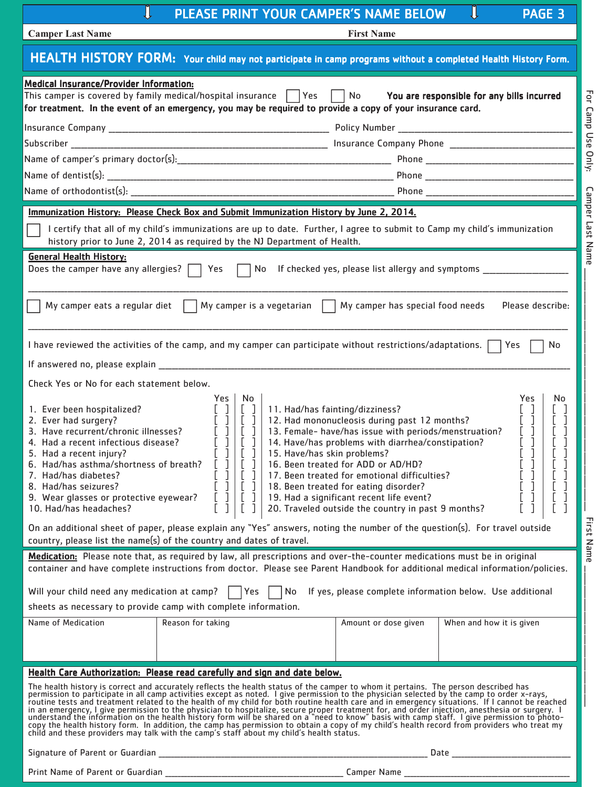| Π<br>PLEASE PRINT YOUR CAMPER'S NAME BELOW<br>PAGE <sub>3</sub>                                                                                                                                                                                                                                                                                                                                                                                                                                                                                                                                                                                                                                                                                                                                                                                                                                                                |  |  |  |  |  |
|--------------------------------------------------------------------------------------------------------------------------------------------------------------------------------------------------------------------------------------------------------------------------------------------------------------------------------------------------------------------------------------------------------------------------------------------------------------------------------------------------------------------------------------------------------------------------------------------------------------------------------------------------------------------------------------------------------------------------------------------------------------------------------------------------------------------------------------------------------------------------------------------------------------------------------|--|--|--|--|--|
| <b>Camper Last Name</b><br><b>First Name</b>                                                                                                                                                                                                                                                                                                                                                                                                                                                                                                                                                                                                                                                                                                                                                                                                                                                                                   |  |  |  |  |  |
| HEALTH HISTORY FORM: Your child may not participate in camp programs without a completed Health History Form.                                                                                                                                                                                                                                                                                                                                                                                                                                                                                                                                                                                                                                                                                                                                                                                                                  |  |  |  |  |  |
| <b>Medical Insurance/Provider Information:</b><br>For Camp Use Only:<br>No<br>You are responsible for any bills incurred<br>for treatment. In the event of an emergency, you may be required to provide a copy of your insurance card.                                                                                                                                                                                                                                                                                                                                                                                                                                                                                                                                                                                                                                                                                         |  |  |  |  |  |
|                                                                                                                                                                                                                                                                                                                                                                                                                                                                                                                                                                                                                                                                                                                                                                                                                                                                                                                                |  |  |  |  |  |
|                                                                                                                                                                                                                                                                                                                                                                                                                                                                                                                                                                                                                                                                                                                                                                                                                                                                                                                                |  |  |  |  |  |
|                                                                                                                                                                                                                                                                                                                                                                                                                                                                                                                                                                                                                                                                                                                                                                                                                                                                                                                                |  |  |  |  |  |
|                                                                                                                                                                                                                                                                                                                                                                                                                                                                                                                                                                                                                                                                                                                                                                                                                                                                                                                                |  |  |  |  |  |
|                                                                                                                                                                                                                                                                                                                                                                                                                                                                                                                                                                                                                                                                                                                                                                                                                                                                                                                                |  |  |  |  |  |
| Camper Last Name<br>Immunization History: Please Check Box and Submit Immunization History by June 2, 2014.<br>I certify that all of my child's immunizations are up to date. Further, I agree to submit to Camp my child's immunization<br>history prior to June 2, 2014 as required by the NJ Department of Health.<br><b>General Health History:</b><br>Does the camper have any allergies? $\Box$ Yes<br>No If checked yes, please list allergy and symptoms _____________                                                                                                                                                                                                                                                                                                                                                                                                                                                 |  |  |  |  |  |
| My camper eats a regular diet<br>Please describe:<br>My camper is a vegetarian<br>My camper has special food needs                                                                                                                                                                                                                                                                                                                                                                                                                                                                                                                                                                                                                                                                                                                                                                                                             |  |  |  |  |  |
| I have reviewed the activities of the camp, and my camper can participate without restrictions/adaptations. $\Box$ Yes<br>No                                                                                                                                                                                                                                                                                                                                                                                                                                                                                                                                                                                                                                                                                                                                                                                                   |  |  |  |  |  |
| If answered no, please explain ___________                                                                                                                                                                                                                                                                                                                                                                                                                                                                                                                                                                                                                                                                                                                                                                                                                                                                                     |  |  |  |  |  |
| Check Yes or No for each statement below.<br>No<br>Yes  <br>Yes<br>No<br>11. Had/has fainting/dizziness?<br>1. Ever been hospitalized?<br>L<br>[<br>12. Had mononucleosis during past 12 months?<br>2. Ever had surgery?<br>Ţ<br>3. Have recurrent/chronic illnesses?<br>13. Female- have/has issue with periods/menstruation?<br>14. Have/has problems with diarrhea/constipation?<br>4. Had a recent infectious disease?<br>5. Had a recent injury?<br>15. Have/has skin problems?<br>׀<br>׀׀<br>6. Had/has asthma/shortness of breath?<br>16. Been treated for ADD or AD/HD?<br>7. Had/has diabetes?<br>17. Been treated for emotional difficulties?<br>/.  Had/has diabetes?<br>8.  Had/has seizures?<br>9.  Wear glasses or protective eyewear?<br>18. Been treated for eating disorder?<br>Ţ<br>19. Had a significant recent life event?<br>20. Traveled outside the country in past 9 months?<br>10. Had/has headaches? |  |  |  |  |  |
| First Name<br>On an additional sheet of paper, please explain any "Yes" answers, noting the number of the question(s). For travel outside<br>country, please list the name(s) of the country and dates of travel.                                                                                                                                                                                                                                                                                                                                                                                                                                                                                                                                                                                                                                                                                                              |  |  |  |  |  |
| Medication: Please note that, as required by law, all prescriptions and over-the-counter medications must be in original<br>container and have complete instructions from doctor. Please see Parent Handbook for additional medical information/policies.                                                                                                                                                                                                                                                                                                                                                                                                                                                                                                                                                                                                                                                                      |  |  |  |  |  |
| Will your child need any medication at camp?     Yes     No If yes, please complete information below. Use additional<br>sheets as necessary to provide camp with complete information.                                                                                                                                                                                                                                                                                                                                                                                                                                                                                                                                                                                                                                                                                                                                        |  |  |  |  |  |
| Name of Medication<br>Reason for taking<br>When and how it is given<br>Amount or dose given                                                                                                                                                                                                                                                                                                                                                                                                                                                                                                                                                                                                                                                                                                                                                                                                                                    |  |  |  |  |  |
|                                                                                                                                                                                                                                                                                                                                                                                                                                                                                                                                                                                                                                                                                                                                                                                                                                                                                                                                |  |  |  |  |  |
| Health Care Authorization: Please read carefully and sign and date below.                                                                                                                                                                                                                                                                                                                                                                                                                                                                                                                                                                                                                                                                                                                                                                                                                                                      |  |  |  |  |  |
| The health history is correct and accurately reflects the health status of the camper to whom it pertains. The person described has<br>The mission to participate in all camp actuality ferroes the shoted. If you be permission to the physical selected by the camp revisions of the physical sected in an emergency situations. If I cannot be reached in an emerg                                                                                                                                                                                                                                                                                                                                                                                                                                                                                                                                                          |  |  |  |  |  |
| Date and the contract of the contract of the contract of the contract of the contract of the contract of the contract of the contract of the contract of the contract of the contract of the contract of the contract of the c                                                                                                                                                                                                                                                                                                                                                                                                                                                                                                                                                                                                                                                                                                 |  |  |  |  |  |

Print Name of Parent or Guardian \_\_\_\_\_\_\_\_\_\_\_\_\_\_\_\_\_\_\_\_\_\_\_\_\_\_\_\_\_\_\_\_\_\_\_\_\_\_\_\_\_\_\_\_\_\_\_\_\_\_\_\_\_\_\_\_\_ Camper Name \_\_\_\_\_\_\_\_\_\_\_\_\_\_\_\_\_\_\_\_\_\_\_\_\_\_\_\_\_\_\_\_\_\_\_\_\_\_\_\_\_\_\_\_\_\_\_\_\_\_\_\_\_